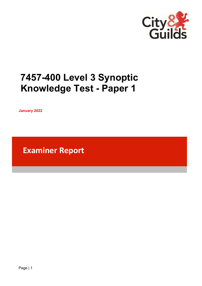

# **7457-400 Level 3 Synoptic Knowledge Test - Paper 1**

**January 2022**

**Examiner Report**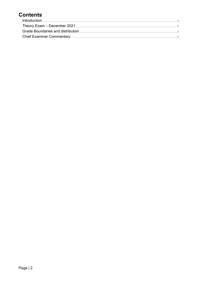# **Contents**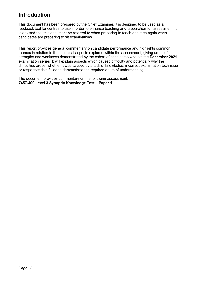### <span id="page-2-0"></span>**Introduction**

This document has been prepared by the Chief Examiner, it is designed to be used as a feedback tool for centres to use in order to enhance teaching and preparation for assessment. It is advised that this document be referred to when preparing to teach and then again when candidates are preparing to sit examinations.

This report provides general commentary on candidate performance and highlights common themes in relation to the technical aspects explored within the assessment, giving areas of strengths and weakness demonstrated by the cohort of candidates who sat the **December 2021** examination series. It will explain aspects which caused difficulty and potentially why the difficulties arose, whether it was caused by a lack of knowledge, incorrect examination technique or responses that failed to demonstrate the required depth of understanding.

The document provides commentary on the following assessment; **7457-400 Level 3 Synoptic Knowledge Test – Paper 1**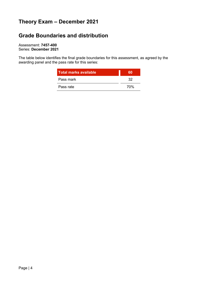# <span id="page-3-0"></span>**Theory Exam – December 2021**

## <span id="page-3-1"></span>**Grade Boundaries and distribution**

Assessment: **7457-400** Series: **December 2021**

The table below identifies the final grade boundaries for this assessment, as agreed by the awarding panel and the pass rate for this series:

| Total marks available | 60  |
|-----------------------|-----|
| Pass mark             | 32  |
| Pass rate             | 70% |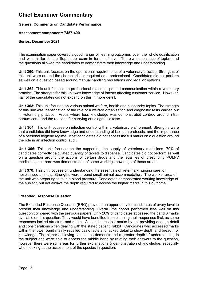### <span id="page-4-0"></span>**Chief Examiner Commentary**

#### **General Comments on Candidate Performance**

#### **Assessment component: 7457-400**

#### **Series: December 2021**

The examination paper covered a good range of learning outcomes over the whole qualification and was similar to the September exam in terms of level. There was a balance of topics, and the questions allowed the candidates to demonstrate their knowledge and understanding.

**Unit 360:** This unit focuses on the operational requirements of a veterinary practice. Strengths of this unit were around the characteristics required as a professional. Candidates did not perform as well on a question based around manual handling regulations and legal obligations.

**Unit 362:** This unit focuses on professional relationships and communication within a veterinary practice. The strength for this unit was knowledge of factors affecting customer service. However, half of the candidates did not expand on this in more detail.

**Unit 363:** This unit focuses on various animal welfare, health and husbandry topics. The strength of this unit was identification of the role of a welfare organisation and diagnostic tests carried out in veterinary practice. Areas where less knowledge was demonstrated centred around intrapartum care, and the reasons for carrying out diagnostic tests.

**Unit 364:** This unit focuses on infection control within a veterinary environment. Strengths were that candidates did have knowledge and understanding of isolation protocols, and the importance of a personal hygiene regime. Most candidates did not access the full marks on a question around the role in an infection control audit.

**Unit 366:** This unit focuses on the supporting the supply of veterinary medicines. 70% of candidates correctly calculated quantity of tablets to dispense. Candidates did not perform as well on a question around the actions of certain drugs and the legalities of prescribing POM-V medicines, but there was demonstration of some working knowledge of these areas.

**Unit 370:** This unit focuses on understanding the essentials of veterinary nursing care for hospitalised animals. Strengths were around small animal accommodation. The weaker area of the unit was preparing to take a blood pressure. Candidates demonstrated working knowledge of the subject, but not always the depth required to access the higher marks in this outcome.

#### **Extended Response Question**

The Extended Response Question (ERQ) provided an opportunity for candidates of every level to present their knowledge and understanding. Overall, the cohort performed less well on this question compared with the previous papers. Only 20% of candidates accessed the band 3 marks available on this question. They would have benefited from planning their responses first, as some responses lacked structure and depth. All candidates lost marks by not providing enough detail and considerations when dealing with the stated patient (rabbit). Candidates who accessed marks within the lower band mainly recalled basic facts and lacked detail to show depth and breadth of knowledge. The higher achieving candidates demonstrated a greater depth of understanding in the subject and were able to access the middle band by relating their answers to the question, however there were still areas for further explanations & demonstration of knowledge, especially when looking at the assessment of the species in question.